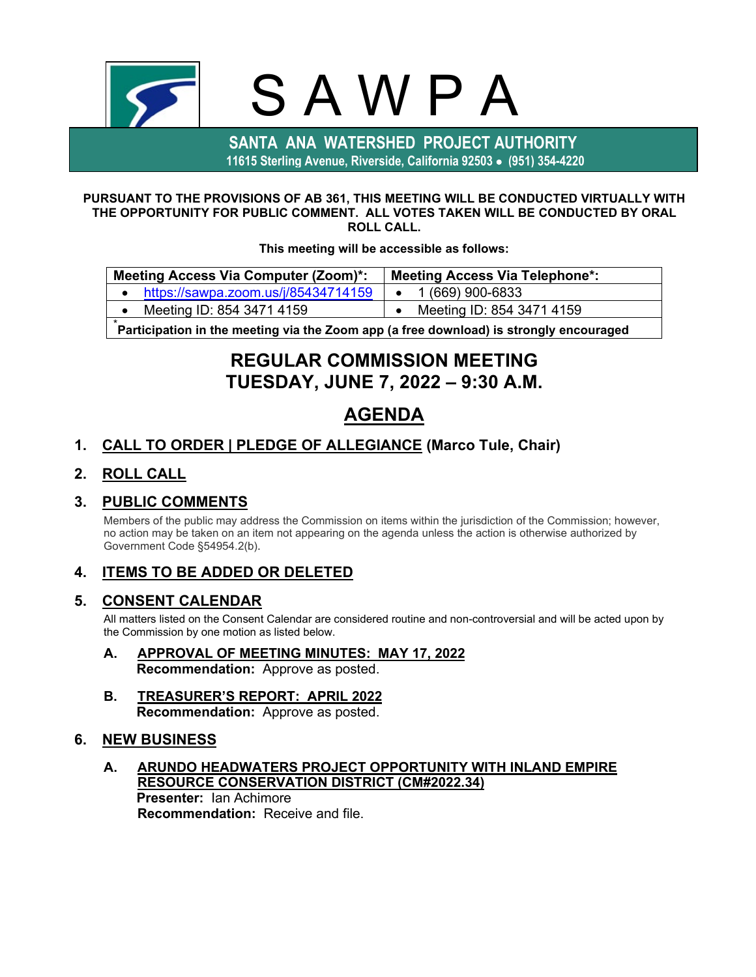**SANTA ANA WATERSHED PROJECT AUTHORITY 11615 Sterling Avenue, Riverside, California 92503** • **(951) 354-4220**

#### **PURSUANT TO THE PROVISIONS OF AB 361, THIS MEETING WILL BE CONDUCTED VIRTUALLY WITH THE OPPORTUNITY FOR PUBLIC COMMENT. ALL VOTES TAKEN WILL BE CONDUCTED BY ORAL ROLL CALL.**

S A W P A

**This meeting will be accessible as follows:**

| <b>Meeting Access Via Computer (Zoom)*:</b> | <b>Meeting Access Via Telephone*:</b> |  |  |
|---------------------------------------------|---------------------------------------|--|--|
| https://sawpa.zoom.us/j/85434714159         | 1 (669) 900-6833                      |  |  |
| Meeting ID: 854 3471 4159                   | Meeting ID: 854 3471 4159             |  |  |
|                                             |                                       |  |  |

\* **Participation in the meeting via the Zoom app (a free download) is strongly encouraged**

# **REGULAR COMMISSION MEETING TUESDAY, JUNE 7, 2022 – 9:30 A.M.**

# **AGENDA**

# **1. CALL TO ORDER | PLEDGE OF ALLEGIANCE (Marco Tule, Chair)**

# **2. ROLL CALL**

## **3. PUBLIC COMMENTS**

Members of the public may address the Commission on items within the jurisdiction of the Commission; however, no action may be taken on an item not appearing on the agenda unless the action is otherwise authorized by Government Code §54954.2(b).

# **4. ITEMS TO BE ADDED OR DELETED**

## **5. CONSENT CALENDAR**

All matters listed on the Consent Calendar are considered routine and non-controversial and will be acted upon by the Commission by one motion as listed below.

- **A. APPROVAL OF MEETING MINUTES: MAY 17, 2022 Recommendation:** Approve as posted.
- **B. TREASURER'S REPORT: APRIL 2022 Recommendation:** Approve as posted.

## **6. NEW BUSINESS**

**A. ARUNDO HEADWATERS PROJECT OPPORTUNITY WITH INLAND EMPIRE RESOURCE CONSERVATION DISTRICT (CM#2022.34) Presenter:** Ian Achimore **Recommendation:** Receive and file.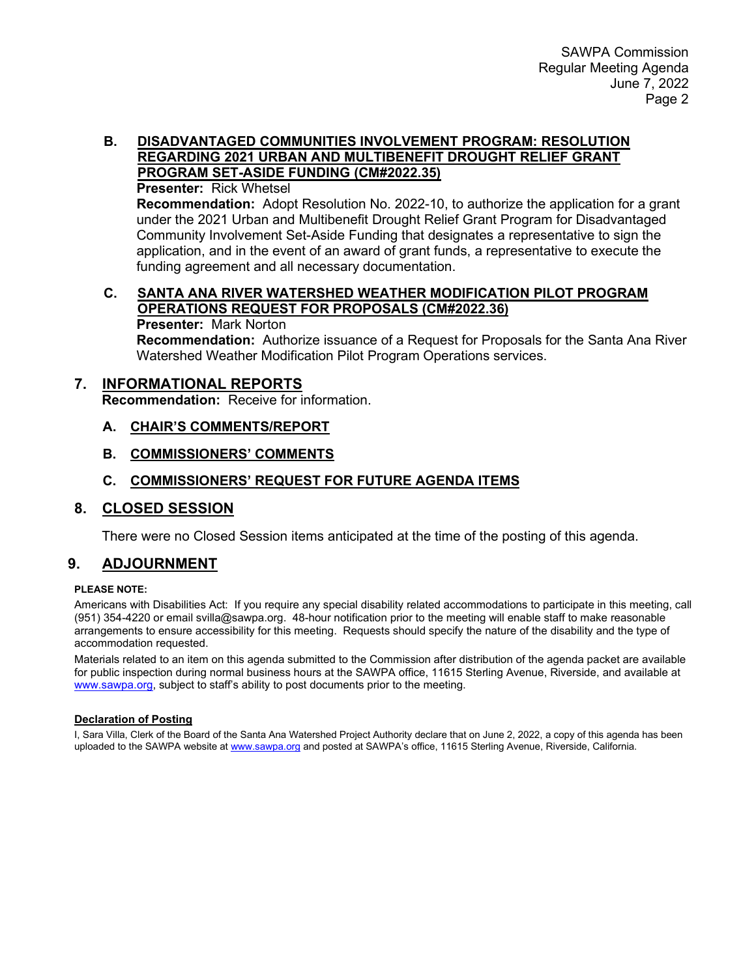#### **B. DISADVANTAGED COMMUNITIES INVOLVEMENT PROGRAM: RESOLUTION REGARDING 2021 URBAN AND MULTIBENEFIT DROUGHT RELIEF GRANT PROGRAM SET-ASIDE FUNDING (CM#2022.35)**

**Presenter:** Rick Whetsel

**Recommendation:** Adopt Resolution No. 2022-10, to authorize the application for a grant under the 2021 Urban and Multibenefit Drought Relief Grant Program for Disadvantaged Community Involvement Set-Aside Funding that designates a representative to sign the application, and in the event of an award of grant funds, a representative to execute the funding agreement and all necessary documentation.

# **C. SANTA ANA RIVER WATERSHED WEATHER MODIFICATION PILOT PROGRAM OPERATIONS REQUEST FOR PROPOSALS (CM#2022.36)**

### **Presenter:** Mark Norton

**Recommendation:** Authorize issuance of a Request for Proposals for the Santa Ana River Watershed Weather Modification Pilot Program Operations services.

## **7. INFORMATIONAL REPORTS**

**Recommendation:** Receive for information.

#### **A. CHAIR'S COMMENTS/REPORT**

#### **B. COMMISSIONERS' COMMENTS**

#### **C. COMMISSIONERS' REQUEST FOR FUTURE AGENDA ITEMS**

### **8. CLOSED SESSION**

There were no Closed Session items anticipated at the time of the posting of this agenda.

### **9. ADJOURNMENT**

#### **PLEASE NOTE:**

Americans with Disabilities Act: If you require any special disability related accommodations to participate in this meeting, call (951) 354-4220 or email svilla@sawpa.org. 48-hour notification prior to the meeting will enable staff to make reasonable arrangements to ensure accessibility for this meeting. Requests should specify the nature of the disability and the type of accommodation requested.

Materials related to an item on this agenda submitted to the Commission after distribution of the agenda packet are available for public inspection during normal business hours at the SAWPA office, 11615 Sterling Avenue, Riverside, and available at [www.sawpa.org,](http://www.sawpa.org/) subject to staff's ability to post documents prior to the meeting.

#### **Declaration of Posting**

I, Sara Villa, Clerk of the Board of the Santa Ana Watershed Project Authority declare that on June 2, 2022, a copy of this agenda has been uploaded to the SAWPA website at [www.sawpa.org](http://www.sawpa.org/) and posted at SAWPA's office, 11615 Sterling Avenue, Riverside, California.